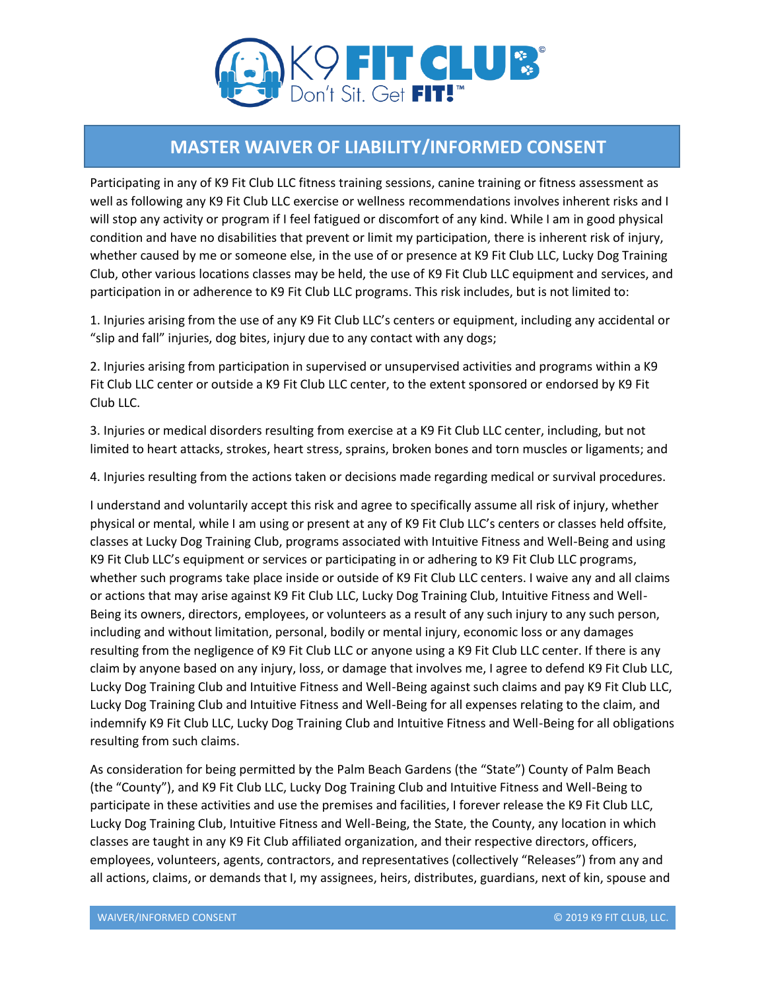

## **MASTER WAIVER OF LIABILITY/INFORMED CONSENT**

Participating in any of K9 Fit Club LLC fitness training sessions, canine training or fitness assessment as well as following any K9 Fit Club LLC exercise or wellness recommendations involves inherent risks and I will stop any activity or program if I feel fatigued or discomfort of any kind. While I am in good physical condition and have no disabilities that prevent or limit my participation, there is inherent risk of injury, whether caused by me or someone else, in the use of or presence at K9 Fit Club LLC, Lucky Dog Training Club, other various locations classes may be held, the use of K9 Fit Club LLC equipment and services, and participation in or adherence to K9 Fit Club LLC programs. This risk includes, but is not limited to:

1. Injuries arising from the use of any K9 Fit Club LLC's centers or equipment, including any accidental or "slip and fall" injuries, dog bites, injury due to any contact with any dogs;

2. Injuries arising from participation in supervised or unsupervised activities and programs within a K9 Fit Club LLC center or outside a K9 Fit Club LLC center, to the extent sponsored or endorsed by K9 Fit Club LLC.

3. Injuries or medical disorders resulting from exercise at a K9 Fit Club LLC center, including, but not limited to heart attacks, strokes, heart stress, sprains, broken bones and torn muscles or ligaments; and

4. Injuries resulting from the actions taken or decisions made regarding medical or survival procedures.

I understand and voluntarily accept this risk and agree to specifically assume all risk of injury, whether physical or mental, while I am using or present at any of K9 Fit Club LLC's centers or classes held offsite, classes at Lucky Dog Training Club, programs associated with Intuitive Fitness and Well-Being and using K9 Fit Club LLC's equipment or services or participating in or adhering to K9 Fit Club LLC programs, whether such programs take place inside or outside of K9 Fit Club LLC centers. I waive any and all claims or actions that may arise against K9 Fit Club LLC, Lucky Dog Training Club, Intuitive Fitness and Well-Being its owners, directors, employees, or volunteers as a result of any such injury to any such person, including and without limitation, personal, bodily or mental injury, economic loss or any damages resulting from the negligence of K9 Fit Club LLC or anyone using a K9 Fit Club LLC center. If there is any claim by anyone based on any injury, loss, or damage that involves me, I agree to defend K9 Fit Club LLC, Lucky Dog Training Club and Intuitive Fitness and Well-Being against such claims and pay K9 Fit Club LLC, Lucky Dog Training Club and Intuitive Fitness and Well-Being for all expenses relating to the claim, and indemnify K9 Fit Club LLC, Lucky Dog Training Club and Intuitive Fitness and Well-Being for all obligations resulting from such claims.

As consideration for being permitted by the Palm Beach Gardens (the "State") County of Palm Beach (the "County"), and K9 Fit Club LLC, Lucky Dog Training Club and Intuitive Fitness and Well-Being to participate in these activities and use the premises and facilities, I forever release the K9 Fit Club LLC, Lucky Dog Training Club, Intuitive Fitness and Well-Being, the State, the County, any location in which classes are taught in any K9 Fit Club affiliated organization, and their respective directors, officers, employees, volunteers, agents, contractors, and representatives (collectively "Releases") from any and all actions, claims, or demands that I, my assignees, heirs, distributes, guardians, next of kin, spouse and